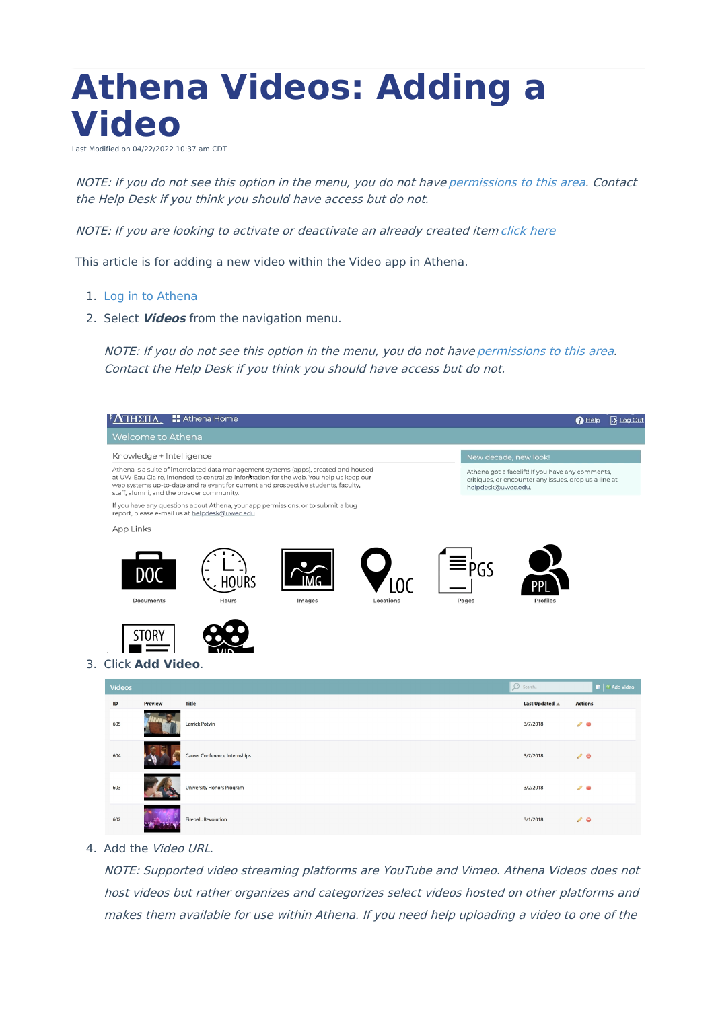## **Athena Videos: Adding a Video**

Last Modified on 04/22/2022 10:37 am CDT

NOTE: If you do not see this option in the menu, you do not have [permissions](https://www.uwec.edu/kb/article/athena-content-hub-permissions-within-athena/) to this area. Contact the Help Desk if you think you should have access but do not.

NOTE: If you are looking to activate or deactivate an already created item [click](https://kb.uwec.edu/help/athena-universal-activate-and-deactivate) here

This article is for adding a new video within the Video app in Athena.

- 1. Log in to [Athena](https://athena.apps.uwec.edu)
- 2. Select **Videos** from the navigation menu.

NOTE: If you do not see this option in the menu, you do not have [permissions](https://www.uwec.edu/kb/article/athena-content-hub-permissions-within-athena/) to this area. Contact the Help Desk if you think you should have access but do not.

|                                                                                                                                                                                                                                                                                                                   | ΉΣΠΛ                                 | <b>Athena Home</b>                                                                                                                 |        |           |              |                                                                                                                                 | $\bigcirc$ Help | <b>13</b> Log Out                        |
|-------------------------------------------------------------------------------------------------------------------------------------------------------------------------------------------------------------------------------------------------------------------------------------------------------------------|--------------------------------------|------------------------------------------------------------------------------------------------------------------------------------|--------|-----------|--------------|---------------------------------------------------------------------------------------------------------------------------------|-----------------|------------------------------------------|
|                                                                                                                                                                                                                                                                                                                   | Welcome to Athena                    |                                                                                                                                    |        |           |              |                                                                                                                                 |                 |                                          |
| Knowledge + Intelligence                                                                                                                                                                                                                                                                                          |                                      |                                                                                                                                    |        |           |              | New decade, new look!                                                                                                           |                 |                                          |
| Athena is a suite of interrelated data management systems (apps), created and housed<br>at UW-Eau Claire, intended to centralize information for the web. You help us keep our<br>web systems up-to-date and relevant for current and prospective students, faculty,<br>staff, alumni, and the broader community. |                                      |                                                                                                                                    |        |           |              | Athena got a facelift! If you have any comments,<br>critiques, or encounter any issues, drop us a line at<br>helpdesk@uwec.edu. |                 |                                          |
|                                                                                                                                                                                                                                                                                                                   |                                      | If you have any questions about Athena, your app permissions, or to submit a bug<br>report, please e-mail us at helpdesk@uwec.edu. |        |           |              |                                                                                                                                 |                 |                                          |
| App Links                                                                                                                                                                                                                                                                                                         |                                      |                                                                                                                                    |        |           |              |                                                                                                                                 |                 |                                          |
|                                                                                                                                                                                                                                                                                                                   | D <sub>0</sub><br>Documents<br>STOR' | Hours                                                                                                                              | Images | Locations | PGS<br>Pages | Profiles                                                                                                                        |                 |                                          |
| <b>Videos</b>                                                                                                                                                                                                                                                                                                     | 3. Click Add Video.                  |                                                                                                                                    |        |           |              | O Search.                                                                                                                       |                 | $\blacksquare$ $\blacklozenge$ Add Video |
| ID                                                                                                                                                                                                                                                                                                                | <b>Preview</b>                       | <b>Title</b>                                                                                                                       |        |           |              | Last Updated $\triangle$                                                                                                        | <b>Actions</b>  |                                          |
| 605                                                                                                                                                                                                                                                                                                               |                                      | Larrick Potvin                                                                                                                     |        |           |              | 3/7/2018                                                                                                                        | $\mathcal{L}$ 0 |                                          |
| 604                                                                                                                                                                                                                                                                                                               |                                      | Career Conference Internships                                                                                                      |        |           |              | 3/7/2018                                                                                                                        | $\mathcal{L}$ 0 |                                          |
| 603                                                                                                                                                                                                                                                                                                               |                                      | University Honors Program                                                                                                          |        |           |              | 3/2/2018                                                                                                                        | $\mathcal{L}$ 0 |                                          |
| 602                                                                                                                                                                                                                                                                                                               |                                      | Fireball: Revolution                                                                                                               |        |           |              | 3/1/2018                                                                                                                        | $\mathcal{L}$ 0 |                                          |

4. Add the Video URL.

NOTE: Supported video streaming platforms are YouTube and Vimeo. Athena Videos does not host videos but rather organizes and categorizes select videos hosted on other platforms and makes them available for use within Athena. If you need help uploading <sup>a</sup> video to one of the